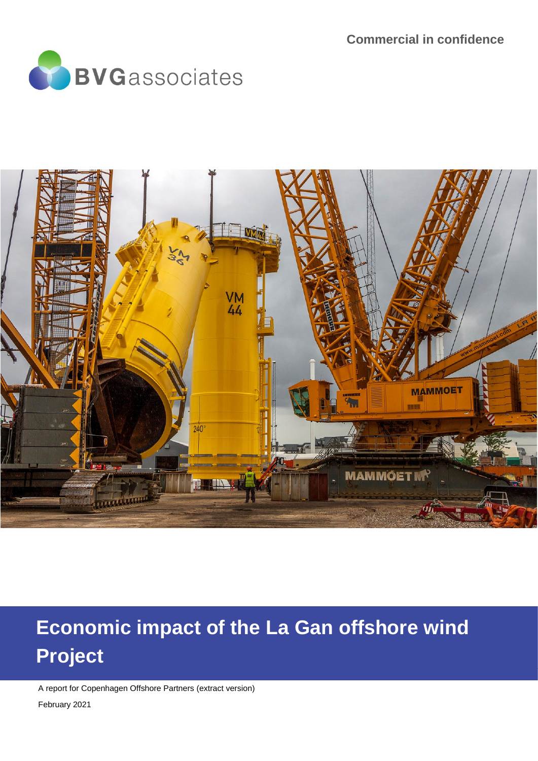



# **Economic impact of the La Gan offshore wind Project**

A report for Copenhagen Offshore Partners (extract version)

February 2021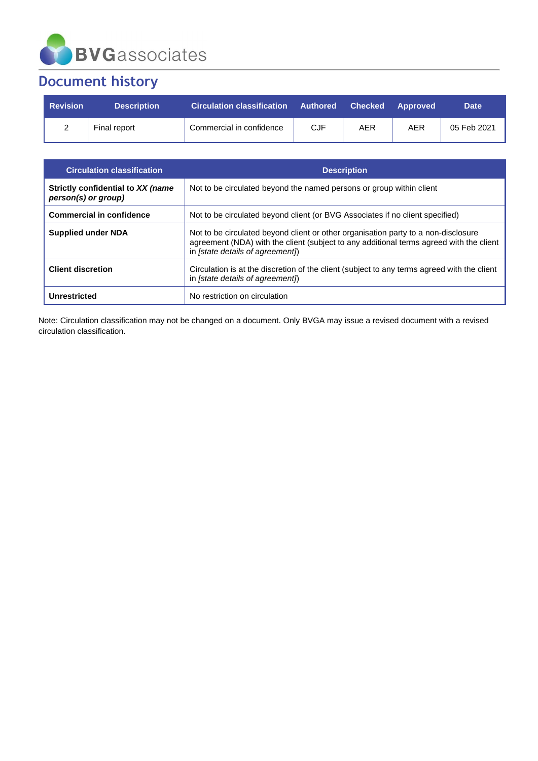

# **Document history**

| <b>Revision</b> | <b>Description</b> | Circulation classification Authored Checked Approved |            |            |     | <b>Date</b> |
|-----------------|--------------------|------------------------------------------------------|------------|------------|-----|-------------|
|                 | Final report       | Commercial in confidence                             | <b>CJF</b> | <b>AER</b> | AER | 05 Feb 2021 |

| <b>Circulation classification</b>                        | <b>Description</b>                                                                                                                                                                                                |
|----------------------------------------------------------|-------------------------------------------------------------------------------------------------------------------------------------------------------------------------------------------------------------------|
| Strictly confidential to XX (name<br>person(s) or group) | Not to be circulated beyond the named persons or group within client                                                                                                                                              |
| <b>Commercial in confidence</b>                          | Not to be circulated beyond client (or BVG Associates if no client specified)                                                                                                                                     |
| <b>Supplied under NDA</b>                                | Not to be circulated beyond client or other organisation party to a non-disclosure<br>agreement (NDA) with the client (subject to any additional terms agreed with the client<br>in [state details of agreement]) |
| <b>Client discretion</b>                                 | Circulation is at the discretion of the client (subject to any terms agreed with the client<br>in [state details of agreement]                                                                                    |
| Unrestricted                                             | No restriction on circulation                                                                                                                                                                                     |

Note: Circulation classification may not be changed on a document. Only BVGA may issue a revised document with a revised circulation classification.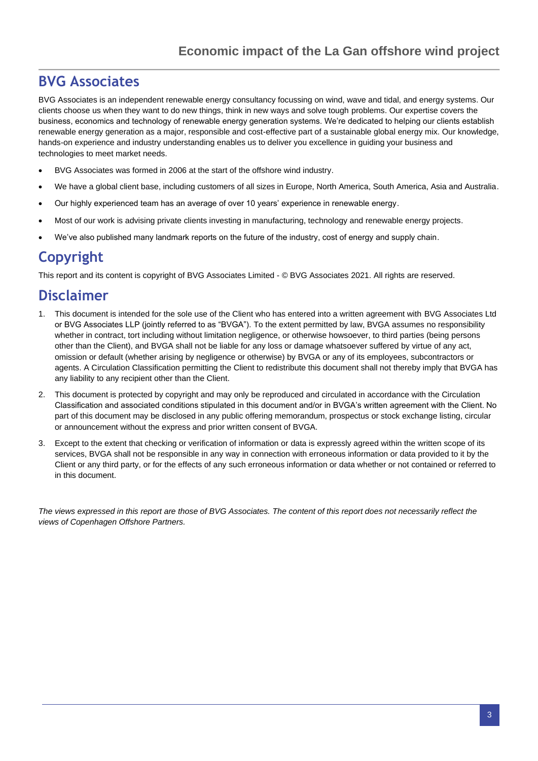### **BVG Associates**

BVG Associates is an independent renewable energy consultancy focussing on wind, wave and tidal, and energy systems. Our clients choose us when they want to do new things, think in new ways and solve tough problems. Our expertise covers the business, economics and technology of renewable energy generation systems. We're dedicated to helping our clients establish renewable energy generation as a major, responsible and cost-effective part of a sustainable global energy mix. Our knowledge, hands-on experience and industry understanding enables us to deliver you excellence in guiding your business and technologies to meet market needs.

- BVG Associates was formed in 2006 at the start of the offshore wind industry.
- We have a global client base, including customers of all sizes in Europe, North America, South America, Asia and Australia.
- Our highly experienced team has an average of over 10 years' experience in renewable energy.
- Most of our work is advising private clients investing in manufacturing, technology and renewable energy projects.
- We've also published many landmark reports on the future of the industry, cost of energy and supply chain.

# **Copyright**

This report and its content is copyright of BVG Associates Limited - © BVG Associates 2021. All rights are reserved.

### **Disclaimer**

- 1. This document is intended for the sole use of the Client who has entered into a written agreement with BVG Associates Ltd or BVG Associates LLP (jointly referred to as "BVGA"). To the extent permitted by law, BVGA assumes no responsibility whether in contract, tort including without limitation negligence, or otherwise howsoever, to third parties (being persons other than the Client), and BVGA shall not be liable for any loss or damage whatsoever suffered by virtue of any act, omission or default (whether arising by negligence or otherwise) by BVGA or any of its employees, subcontractors or agents. A Circulation Classification permitting the Client to redistribute this document shall not thereby imply that BVGA has any liability to any recipient other than the Client.
- 2. This document is protected by copyright and may only be reproduced and circulated in accordance with the Circulation Classification and associated conditions stipulated in this document and/or in BVGA's written agreement with the Client. No part of this document may be disclosed in any public offering memorandum, prospectus or stock exchange listing, circular or announcement without the express and prior written consent of BVGA.
- 3. Except to the extent that checking or verification of information or data is expressly agreed within the written scope of its services, BVGA shall not be responsible in any way in connection with erroneous information or data provided to it by the Client or any third party, or for the effects of any such erroneous information or data whether or not contained or referred to in this document.

*The views expressed in this report are those of BVG Associates. The content of this report does not necessarily reflect the views of Copenhagen Offshore Partners.*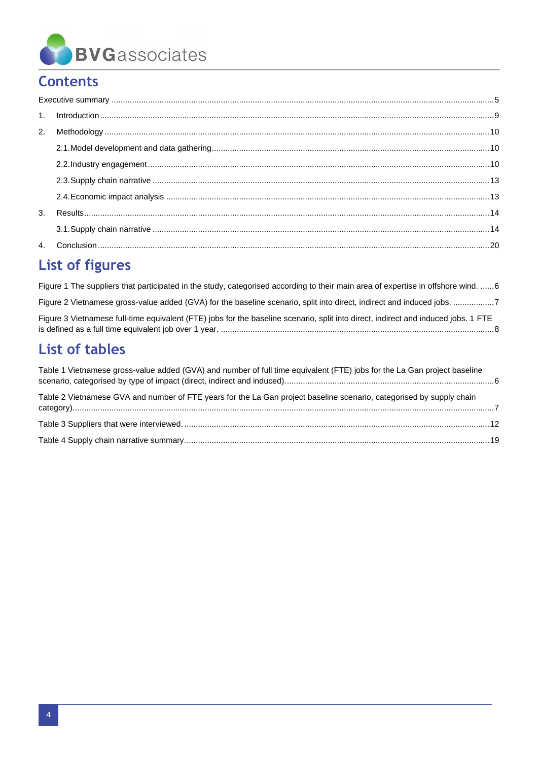

# **Contents**

# List of figures

| Figure 1 The suppliers that participated in the study, categorised according to their main area of expertise in offshore wind.  6  |
|------------------------------------------------------------------------------------------------------------------------------------|
|                                                                                                                                    |
| Figure 3 Vietnamese full-time equivalent (FTE) jobs for the baseline scenario, split into direct, indirect and induced jobs. 1 FTE |

# **List of tables**

| Table 1 Vietnamese gross-value added (GVA) and number of full time equivalent (FTE) jobs for the La Gan project baseline |  |
|--------------------------------------------------------------------------------------------------------------------------|--|
| Table 2 Vietnamese GVA and number of FTE years for the La Gan project baseline scenario, categorised by supply chain     |  |
|                                                                                                                          |  |
|                                                                                                                          |  |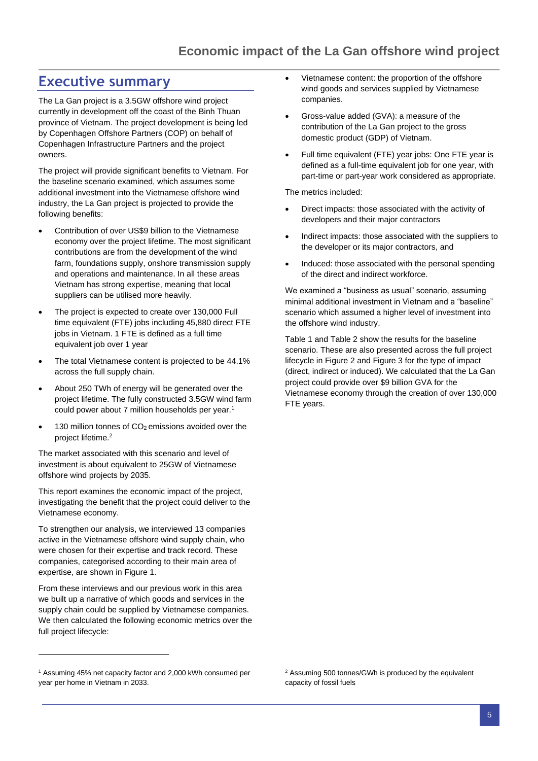### <span id="page-4-0"></span>**Executive summary**

The La Gan project is a 3.5GW offshore wind project currently in development off the coast of the Binh Thuan province of Vietnam. The project development is being led by Copenhagen Offshore Partners (COP) on behalf of Copenhagen Infrastructure Partners and the project owners.

The project will provide significant benefits to Vietnam. For the baseline scenario examined, which assumes some additional investment into the Vietnamese offshore wind industry, the La Gan project is projected to provide the following benefits:

- Contribution of over US\$9 billion to the Vietnamese economy over the project lifetime. The most significant contributions are from the development of the wind farm, foundations supply, onshore transmission supply and operations and maintenance. In all these areas Vietnam has strong expertise, meaning that local suppliers can be utilised more heavily.
- The project is expected to create over 130,000 Full time equivalent (FTE) jobs including 45,880 direct FTE jobs in Vietnam. 1 FTE is defined as a full time equivalent job over 1 year
- The total Vietnamese content is projected to be 44.1% across the full supply chain.
- About 250 TWh of energy will be generated over the project lifetime. The fully constructed 3.5GW wind farm could power about 7 million households per year.<sup>1</sup>
- 130 million tonnes of  $CO<sub>2</sub>$  emissions avoided over the project lifetime.<sup>2</sup>

The market associated with this scenario and level of investment is about equivalent to 25GW of Vietnamese offshore wind projects by 2035.

This report examines the economic impact of the project, investigating the benefit that the project could deliver to the Vietnamese economy.

To strengthen our analysis, we interviewed 13 companies active in the Vietnamese offshore wind supply chain, who were chosen for their expertise and track record. These companies, categorised according to their main area of expertise, are shown in [Figure 1.](#page-5-0)

From these interviews and our previous work in this area we built up a narrative of which goods and services in the supply chain could be supplied by Vietnamese companies. We then calculated the following economic metrics over the full project lifecycle:

- Vietnamese content: the proportion of the offshore wind goods and services supplied by Vietnamese companies.
- Gross-value added (GVA): a measure of the contribution of the La Gan project to the gross domestic product (GDP) of Vietnam.
- Full time equivalent (FTE) year jobs: One FTE year is defined as a full-time equivalent job for one year, with part-time or part-year work considered as appropriate.

The metrics included:

- Direct impacts: those associated with the activity of developers and their major contractors
- Indirect impacts: those associated with the suppliers to the developer or its major contractors, and
- Induced: those associated with the personal spending of the direct and indirect workforce.

We examined a "business as usual" scenario, assuming minimal additional investment in Vietnam and a "baseline" scenario which assumed a higher level of investment into the offshore wind industry.

[Table 1](#page-5-1) an[d Table 2](#page-6-1) show the results for the baseline scenario. These are also presented across the full project lifecycle i[n Figure 2](#page-6-0) an[d Figure 3](#page-7-0) for the type of impact (direct, indirect or induced). We calculated that the La Gan project could provide over \$9 billion GVA for the Vietnamese economy through the creation of over 130,000 FTE years.

<sup>1</sup> Assuming 45% net capacity factor and 2,000 kWh consumed per year per home in Vietnam in 2033.

<sup>2</sup> Assuming 500 tonnes/GWh is produced by the equivalent capacity of fossil fuels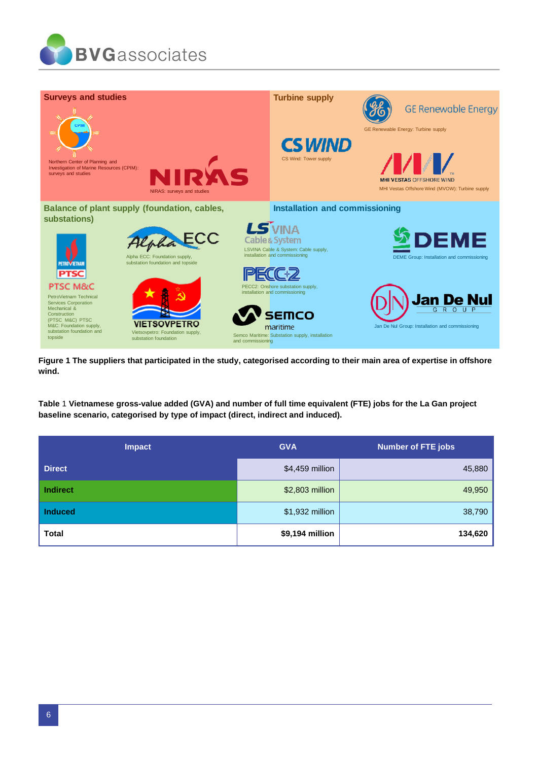



<span id="page-5-0"></span>**Figure 1 The suppliers that participated in the study, categorised according to their main area of expertise in offshore wind.**

<span id="page-5-1"></span>**Table** 1 **Vietnamese gross-value added (GVA) and number of full time equivalent (FTE) jobs for the La Gan project baseline scenario, categorised by type of impact (direct, indirect and induced).**

| <b>Impact</b> | <b>GVA</b>      | Number of FTE jobs |  |  |
|---------------|-----------------|--------------------|--|--|
| <b>Direct</b> | \$4,459 million | 45,880             |  |  |
| Indirect      | \$2,803 million | 49,950             |  |  |
| Induced       | \$1,932 million | 38,790             |  |  |
| <b>Total</b>  | \$9,194 million | 134,620            |  |  |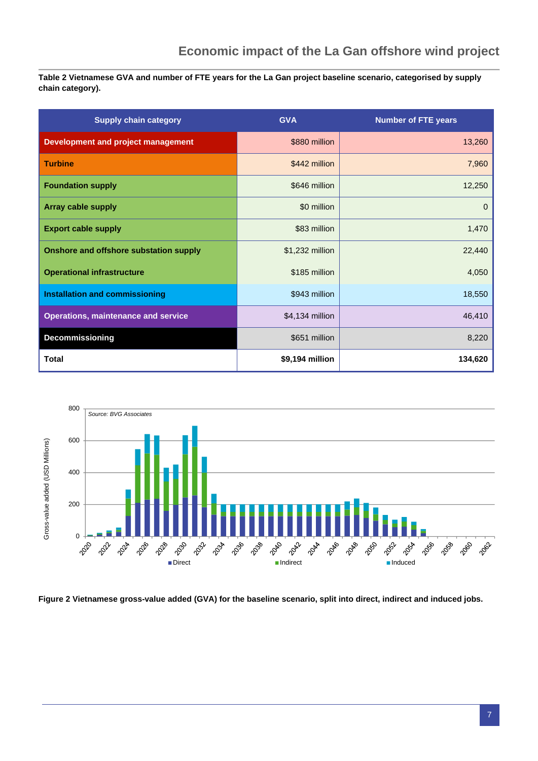<span id="page-6-1"></span>**Table 2 Vietnamese GVA and number of FTE years for the La Gan project baseline scenario, categorised by supply chain category).**

| <b>Supply chain category</b>               | <b>GVA</b>      | <b>Number of FTE years</b> |
|--------------------------------------------|-----------------|----------------------------|
| <b>Development and project management</b>  | \$880 million   | 13,260                     |
| <b>Turbine</b>                             | \$442 million   | 7,960                      |
| <b>Foundation supply</b>                   | \$646 million   | 12,250                     |
| <b>Array cable supply</b>                  | \$0 million     | $\mathbf{0}$               |
| <b>Export cable supply</b>                 | \$83 million    | 1,470                      |
| Onshore and offshore substation supply     | \$1,232 million | 22,440                     |
| <b>Operational infrastructure</b>          | \$185 million   | 4,050                      |
| <b>Installation and commissioning</b>      | \$943 million   | 18,550                     |
| <b>Operations, maintenance and service</b> | \$4,134 million | 46,410                     |
| Decommissioning                            | \$651 million   | 8,220                      |
| <b>Total</b>                               | \$9,194 million | 134,620                    |



<span id="page-6-0"></span>**Figure 2 Vietnamese gross-value added (GVA) for the baseline scenario, split into direct, indirect and induced jobs.**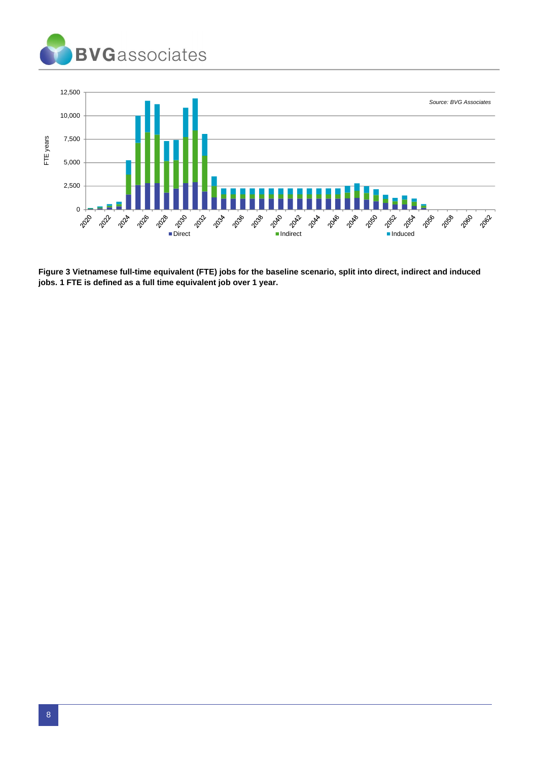



<span id="page-7-0"></span>**Figure 3 Vietnamese full-time equivalent (FTE) jobs for the baseline scenario, split into direct, indirect and induced jobs. 1 FTE is defined as a full time equivalent job over 1 year.**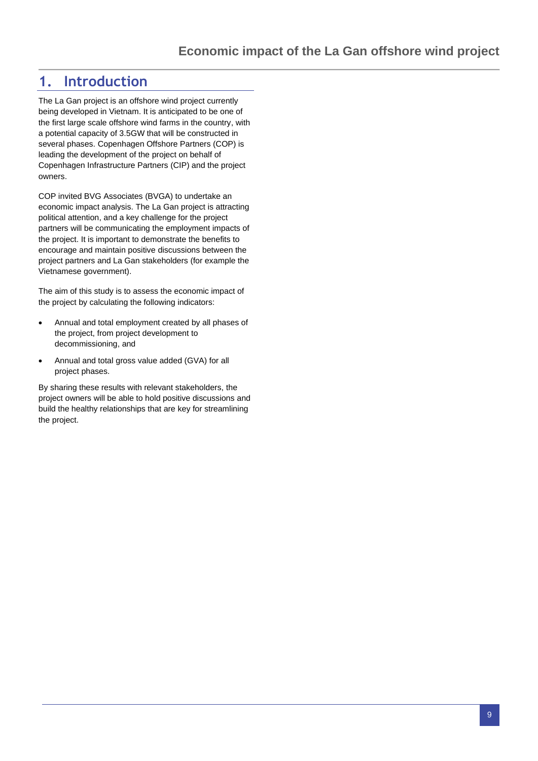### <span id="page-8-0"></span>**1. Introduction**

The La Gan project is an offshore wind project currently being developed in Vietnam. It is anticipated to be one of the first large scale offshore wind farms in the country, with a potential capacity of 3.5GW that will be constructed in several phases. Copenhagen Offshore Partners (COP) is leading the development of the project on behalf of Copenhagen Infrastructure Partners (CIP) and the project owners.

COP invited BVG Associates (BVGA) to undertake an economic impact analysis. The La Gan project is attracting political attention, and a key challenge for the project partners will be communicating the employment impacts of the project. It is important to demonstrate the benefits to encourage and maintain positive discussions between the project partners and La Gan stakeholders (for example the Vietnamese government).

The aim of this study is to assess the economic impact of the project by calculating the following indicators:

- Annual and total employment created by all phases of the project, from project development to decommissioning, and
- Annual and total gross value added (GVA) for all project phases.

By sharing these results with relevant stakeholders, the project owners will be able to hold positive discussions and build the healthy relationships that are key for streamlining the project.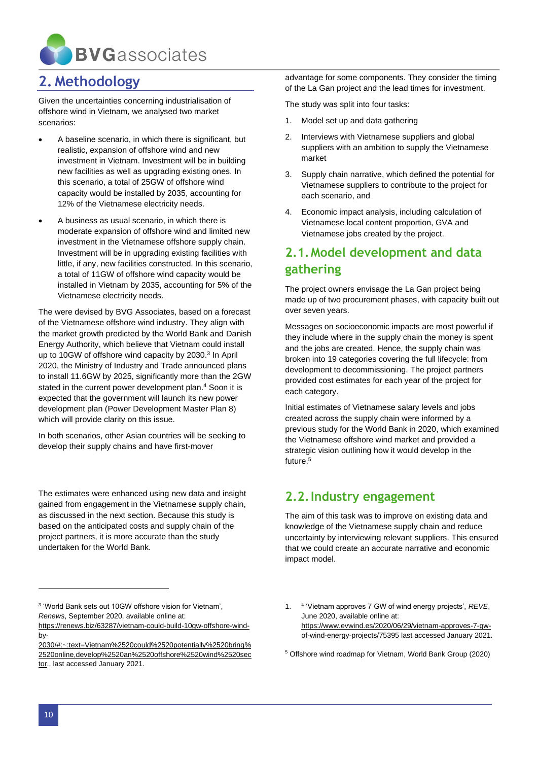

### <span id="page-9-0"></span>**2. Methodology**

Given the uncertainties concerning industrialisation of offshore wind in Vietnam, we analysed two market scenarios:

- A baseline scenario, in which there is significant, but realistic, expansion of offshore wind and new investment in Vietnam. Investment will be in building new facilities as well as upgrading existing ones. In this scenario, a total of 25GW of offshore wind capacity would be installed by 2035, accounting for 12% of the Vietnamese electricity needs.
- A business as usual scenario, in which there is moderate expansion of offshore wind and limited new investment in the Vietnamese offshore supply chain. Investment will be in upgrading existing facilities with little, if any, new facilities constructed. In this scenario, a total of 11GW of offshore wind capacity would be installed in Vietnam by 2035, accounting for 5% of the Vietnamese electricity needs.

The were devised by BVG Associates, based on a forecast of the Vietnamese offshore wind industry. They align with the market growth predicted by the World Bank and Danish Energy Authority, which believe that Vietnam could install up to 10GW of offshore wind capacity by 2030.<sup>3</sup> In April 2020, the Ministry of Industry and Trade announced plans to install 11.6GW by 2025, significantly more than the 2GW stated in the current power development plan.<sup>4</sup> Soon it is expected that the government will launch its new power development plan (Power Development Master Plan 8) which will provide clarity on this issue.

In both scenarios, other Asian countries will be seeking to develop their supply chains and have first-mover

The estimates were enhanced using new data and insight gained from engagement in the Vietnamese supply chain, as discussed in the next section. Because this study is based on the anticipated costs and supply chain of the project partners, it is more accurate than the study undertaken for the World Bank.

advantage for some components. They consider the timing of the La Gan project and the lead times for investment.

The study was split into four tasks:

- 1. Model set up and data gathering
- 2. Interviews with Vietnamese suppliers and global suppliers with an ambition to supply the Vietnamese market
- 3. Supply chain narrative, which defined the potential for Vietnamese suppliers to contribute to the project for each scenario, and
- 4. Economic impact analysis, including calculation of Vietnamese local content proportion, GVA and Vietnamese jobs created by the project.

### <span id="page-9-1"></span>**2.1.Model development and data gathering**

The project owners envisage the La Gan project being made up of two procurement phases, with capacity built out over seven years.

Messages on socioeconomic impacts are most powerful if they include where in the supply chain the money is spent and the jobs are created. Hence, the supply chain was broken into 19 categories covering the full lifecycle: from development to decommissioning. The project partners provided cost estimates for each year of the project for each category.

Initial estimates of Vietnamese salary levels and jobs created across the supply chain were informed by a previous study for the World Bank in 2020, which examined the Vietnamese offshore wind market and provided a strategic vision outlining how it would develop in the future.<sup>5</sup>

### <span id="page-9-2"></span>**2.2.Industry engagement**

The aim of this task was to improve on existing data and knowledge of the Vietnamese supply chain and reduce uncertainty by interviewing relevant suppliers. This ensured that we could create an accurate narrative and economic impact model.

<sup>3</sup> 'World Bank sets out 10GW offshore vision for Vietnam', *Renews*, September 2020, available online at:

[https://renews.biz/63287/vietnam-could-build-10gw-offshore-wind](https://renews.biz/63287/vietnam-could-build-10gw-offshore-wind-by-2030/#:~:text=Vietnam%2520could%2520potentially%2520bring%2520online,develop%2520an%2520offshore%2520wind%2520sector)[by-](https://renews.biz/63287/vietnam-could-build-10gw-offshore-wind-by-2030/#:~:text=Vietnam%2520could%2520potentially%2520bring%2520online,develop%2520an%2520offshore%2520wind%2520sector)

[<sup>2030/#:~:</sup>text=Vietnam%2520could%2520potentially%2520bring%](https://renews.biz/63287/vietnam-could-build-10gw-offshore-wind-by-2030/#:~:text=Vietnam%2520could%2520potentially%2520bring%2520online,develop%2520an%2520offshore%2520wind%2520sector) [2520online,develop%2520an%2520offshore%2520wind%2520sec](https://renews.biz/63287/vietnam-could-build-10gw-offshore-wind-by-2030/#:~:text=Vietnam%2520could%2520potentially%2520bring%2520online,develop%2520an%2520offshore%2520wind%2520sector) [tor.](https://renews.biz/63287/vietnam-could-build-10gw-offshore-wind-by-2030/#:~:text=Vietnam%2520could%2520potentially%2520bring%2520online,develop%2520an%2520offshore%2520wind%2520sector), last accessed January 2021.

<sup>1.</sup> <sup>4</sup> 'Vietnam approves 7 GW of wind energy projects', *REVE*, June 2020, available online at: [https://www.evwind.es/2020/06/29/vietnam-approves-7-gw](https://www.evwind.es/2020/06/29/vietnam-approves-7-gw-of-wind-energy-projects/75395)[of-wind-energy-projects/75395](https://www.evwind.es/2020/06/29/vietnam-approves-7-gw-of-wind-energy-projects/75395) last accessed January 2021.

<sup>5</sup> Offshore wind roadmap for Vietnam, World Bank Group (2020)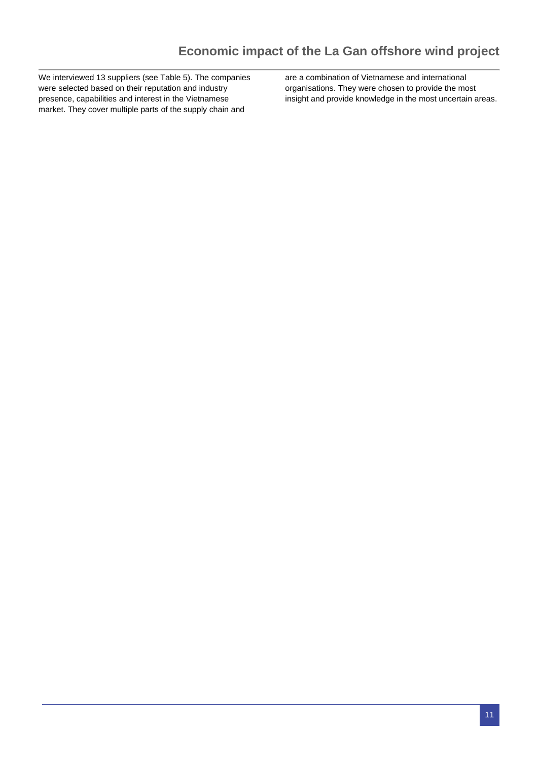We interviewed 13 suppliers (see Table 5). The companies were selected based on their reputation and industry presence, capabilities and interest in the Vietnamese market. They cover multiple parts of the supply chain and

are a combination of Vietnamese and international organisations. They were chosen to provide the most insight and provide knowledge in the most uncertain areas.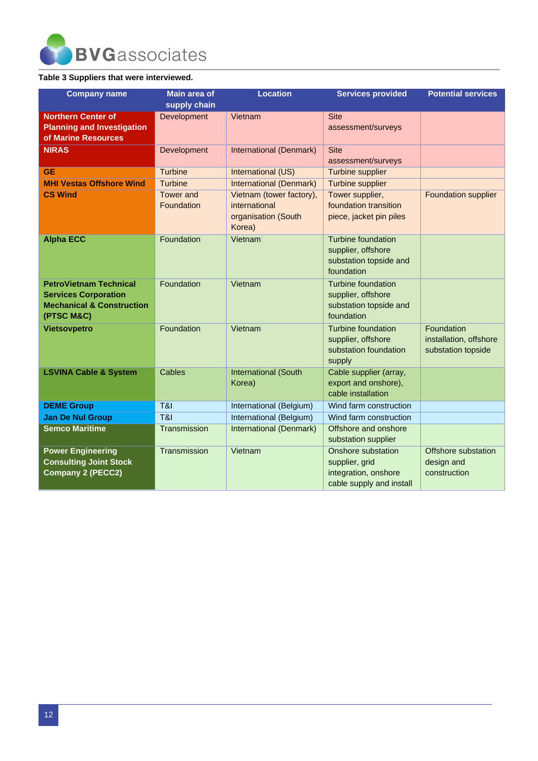

#### <span id="page-11-0"></span>**Table 3 Suppliers that were interviewed.**

| <b>Company name</b>                                                                                                | <b>Location</b><br><b>Main area of</b><br><b>Services provided</b> |                                                                            | <b>Potential services</b>                                                                |                                                            |
|--------------------------------------------------------------------------------------------------------------------|--------------------------------------------------------------------|----------------------------------------------------------------------------|------------------------------------------------------------------------------------------|------------------------------------------------------------|
|                                                                                                                    | supply chain                                                       |                                                                            |                                                                                          |                                                            |
| <b>Northern Center of</b><br><b>Planning and Investigation</b><br>of Marine Resources                              | Development                                                        | Vietnam                                                                    | <b>Site</b><br>assessment/surveys                                                        |                                                            |
| <b>NIRAS</b>                                                                                                       | Development                                                        | International (Denmark)                                                    | <b>Site</b><br>assessment/surveys                                                        |                                                            |
| <b>GE</b>                                                                                                          | <b>Turbine</b>                                                     | International (US)                                                         | <b>Turbine supplier</b>                                                                  |                                                            |
| <b>MHI Vestas Offshore Wind</b>                                                                                    | <b>Turbine</b>                                                     | <b>International (Denmark)</b>                                             | <b>Turbine supplier</b>                                                                  |                                                            |
| <b>CS Wind</b>                                                                                                     | <b>Tower and</b><br>Foundation                                     | Vietnam (tower factory),<br>international<br>organisation (South<br>Korea) | Tower supplier,<br>foundation transition<br>piece, jacket pin piles                      | <b>Foundation supplier</b>                                 |
| <b>Alpha ECC</b>                                                                                                   | Foundation                                                         | Vietnam                                                                    | <b>Turbine foundation</b><br>supplier, offshore<br>substation topside and<br>foundation  |                                                            |
| <b>PetroVietnam Technical</b><br><b>Services Corporation</b><br><b>Mechanical &amp; Construction</b><br>(PTSC M&C) | Foundation                                                         | Vietnam                                                                    | <b>Turbine foundation</b><br>supplier, offshore<br>substation topside and<br>foundation  |                                                            |
| <b>Vietsovpetro</b>                                                                                                | Foundation                                                         | Vietnam                                                                    | <b>Turbine foundation</b><br>supplier, offshore<br>substation foundation<br>supply       | Foundation<br>installation, offshore<br>substation topside |
| <b>LSVINA Cable &amp; System</b>                                                                                   | Cables                                                             | <b>International (South</b><br>Korea)                                      | Cable supplier (array,<br>export and onshore),<br>cable installation                     |                                                            |
| <b>DEME Group</b>                                                                                                  | <b>T&amp;I</b>                                                     | International (Belgium)                                                    | Wind farm construction                                                                   |                                                            |
| <b>Jan De Nul Group</b>                                                                                            | <b>T&amp;I</b>                                                     | International (Belgium)                                                    | Wind farm construction                                                                   |                                                            |
| <b>Semco Maritime</b>                                                                                              | Transmission                                                       | International (Denmark)                                                    | Offshore and onshore<br>substation supplier                                              |                                                            |
| <b>Power Engineering</b><br><b>Consulting Joint Stock</b><br><b>Company 2 (PECC2)</b>                              | Transmission                                                       | Vietnam                                                                    | Onshore substation<br>supplier, grid<br>integration, onshore<br>cable supply and install | Offshore substation<br>design and<br>construction          |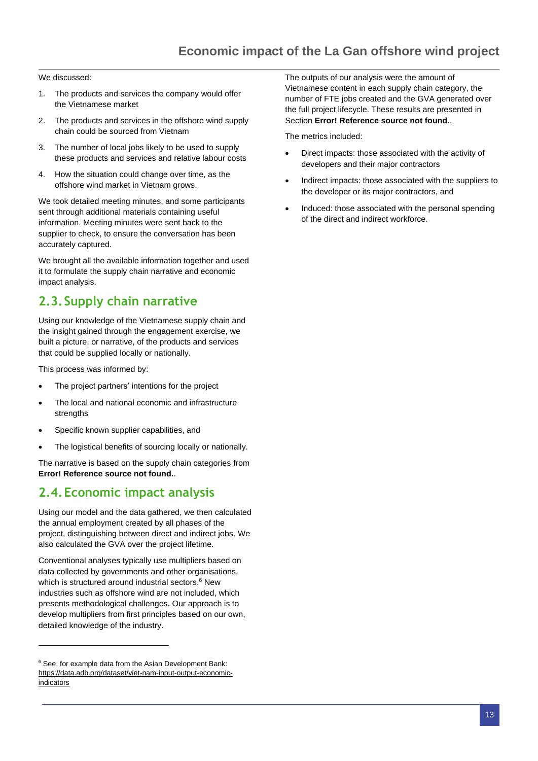We discussed:

- 1. The products and services the company would offer the Vietnamese market
- 2. The products and services in the offshore wind supply chain could be sourced from Vietnam
- 3. The number of local jobs likely to be used to supply these products and services and relative labour costs
- 4. How the situation could change over time, as the offshore wind market in Vietnam grows.

We took detailed meeting minutes, and some participants sent through additional materials containing useful information. Meeting minutes were sent back to the supplier to check, to ensure the conversation has been accurately captured.

We brought all the available information together and used it to formulate the supply chain narrative and economic impact analysis.

### <span id="page-12-0"></span>**2.3.Supply chain narrative**

Using our knowledge of the Vietnamese supply chain and the insight gained through the engagement exercise, we built a picture, or narrative, of the products and services that could be supplied locally or nationally.

This process was informed by:

- The project partners' intentions for the project
- The local and national economic and infrastructure strengths
- Specific known supplier capabilities, and
- The logistical benefits of sourcing locally or nationally.

The narrative is based on the supply chain categories from **Error! Reference source not found.**.

### <span id="page-12-1"></span>**2.4.Economic impact analysis**

Using our model and the data gathered, we then calculated the annual employment created by all phases of the project, distinguishing between direct and indirect jobs. We also calculated the GVA over the project lifetime.

Conventional analyses typically use multipliers based on data collected by governments and other organisations, which is structured around industrial sectors.<sup>6</sup> New industries such as offshore wind are not included, which presents methodological challenges. Our approach is to develop multipliers from first principles based on our own, detailed knowledge of the industry.

The outputs of our analysis were the amount of Vietnamese content in each supply chain category, the number of FTE jobs created and the GVA generated over the full project lifecycle. These results are presented in Section **Error! Reference source not found.**.

The metrics included:

- Direct impacts: those associated with the activity of developers and their major contractors
- Indirect impacts: those associated with the suppliers to the developer or its major contractors, and
- Induced: those associated with the personal spending of the direct and indirect workforce.

<sup>&</sup>lt;sup>6</sup> See, for example data from the Asian Development Bank: [https://data.adb.org/dataset/viet-nam-input-output-economic](https://data.adb.org/dataset/viet-nam-input-output-economic-indicators)[indicators](https://data.adb.org/dataset/viet-nam-input-output-economic-indicators)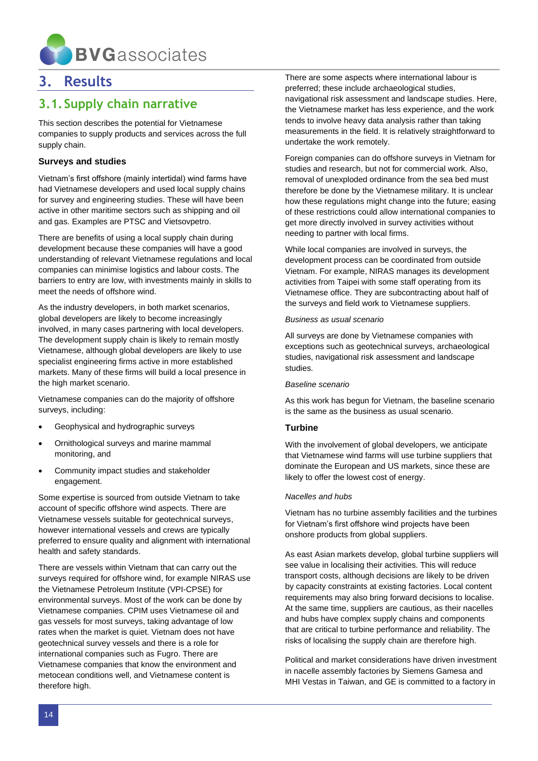

### <span id="page-13-0"></span>**3. Results**

### <span id="page-13-1"></span>**3.1.Supply chain narrative**

This section describes the potential for Vietnamese companies to supply products and services across the full supply chain.

#### **Surveys and studies**

Vietnam's first offshore (mainly intertidal) wind farms have had Vietnamese developers and used local supply chains for survey and engineering studies. These will have been active in other maritime sectors such as shipping and oil and gas. Examples are PTSC and Vietsovpetro.

There are benefits of using a local supply chain during development because these companies will have a good understanding of relevant Vietnamese regulations and local companies can minimise logistics and labour costs. The barriers to entry are low, with investments mainly in skills to meet the needs of offshore wind.

As the industry developers, in both market scenarios, global developers are likely to become increasingly involved, in many cases partnering with local developers. The development supply chain is likely to remain mostly Vietnamese, although global developers are likely to use specialist engineering firms active in more established markets. Many of these firms will build a local presence in the high market scenario.

Vietnamese companies can do the majority of offshore surveys, including:

- Geophysical and hydrographic surveys
- Ornithological surveys and marine mammal monitoring, and
- Community impact studies and stakeholder engagement.

Some expertise is sourced from outside Vietnam to take account of specific offshore wind aspects. There are Vietnamese vessels suitable for geotechnical surveys, however international vessels and crews are typically preferred to ensure quality and alignment with international health and safety standards.

There are vessels within Vietnam that can carry out the surveys required for offshore wind, for example NIRAS use the Vietnamese Petroleum Institute (VPI-CPSE) for environmental surveys. Most of the work can be done by Vietnamese companies. CPIM uses Vietnamese oil and gas vessels for most surveys, taking advantage of low rates when the market is quiet. Vietnam does not have geotechnical survey vessels and there is a role for international companies such as Fugro. There are Vietnamese companies that know the environment and metocean conditions well, and Vietnamese content is therefore high.

There are some aspects where international labour is preferred; these include archaeological studies, navigational risk assessment and landscape studies. Here, the Vietnamese market has less experience, and the work tends to involve heavy data analysis rather than taking measurements in the field. It is relatively straightforward to undertake the work remotely.

Foreign companies can do offshore surveys in Vietnam for studies and research, but not for commercial work. Also, removal of unexploded ordinance from the sea bed must therefore be done by the Vietnamese military. It is unclear how these regulations might change into the future; easing of these restrictions could allow international companies to get more directly involved in survey activities without needing to partner with local firms.

While local companies are involved in surveys, the development process can be coordinated from outside Vietnam. For example, NIRAS manages its development activities from Taipei with some staff operating from its Vietnamese office. They are subcontracting about half of the surveys and field work to Vietnamese suppliers.

#### *Business as usual scenario*

All surveys are done by Vietnamese companies with exceptions such as geotechnical surveys, archaeological studies, navigational risk assessment and landscape studies.

#### *Baseline scenario*

As this work has begun for Vietnam, the baseline scenario is the same as the business as usual scenario.

#### **Turbine**

With the involvement of global developers, we anticipate that Vietnamese wind farms will use turbine suppliers that dominate the European and US markets, since these are likely to offer the lowest cost of energy.

#### *Nacelles and hubs*

Vietnam has no turbine assembly facilities and the turbines for Vietnam's first offshore wind projects have been onshore products from global suppliers.

As east Asian markets develop, global turbine suppliers will see value in localising their activities. This will reduce transport costs, although decisions are likely to be driven by capacity constraints at existing factories. Local content requirements may also bring forward decisions to localise. At the same time, suppliers are cautious, as their nacelles and hubs have complex supply chains and components that are critical to turbine performance and reliability. The risks of localising the supply chain are therefore high.

Political and market considerations have driven investment in nacelle assembly factories by Siemens Gamesa and MHI Vestas in Taiwan, and GE is committed to a factory in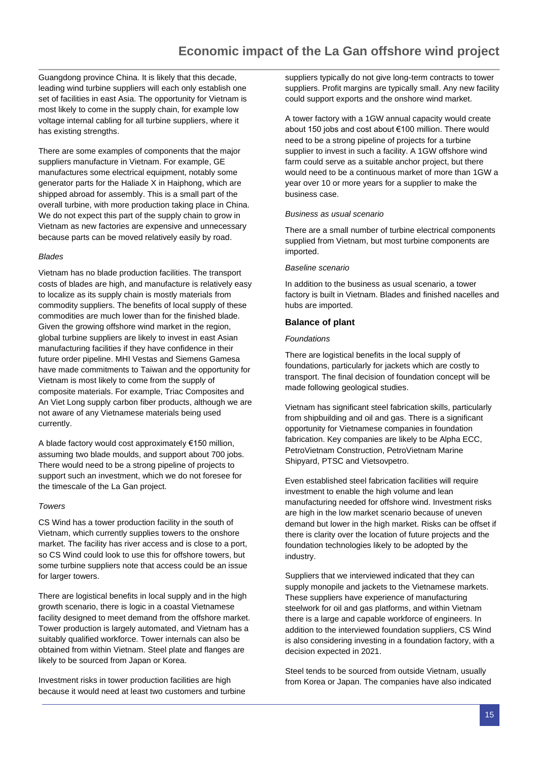Guangdong province China. It is likely that this decade, leading wind turbine suppliers will each only establish one set of facilities in east Asia. The opportunity for Vietnam is most likely to come in the supply chain, for example low voltage internal cabling for all turbine suppliers, where it has existing strengths.

There are some examples of components that the major suppliers manufacture in Vietnam. For example, GE manufactures some electrical equipment, notably some generator parts for the Haliade X in Haiphong, which are shipped abroad for assembly. This is a small part of the overall turbine, with more production taking place in China. We do not expect this part of the supply chain to grow in Vietnam as new factories are expensive and unnecessary because parts can be moved relatively easily by road.

#### *Blades*

Vietnam has no blade production facilities. The transport costs of blades are high, and manufacture is relatively easy to localize as its supply chain is mostly materials from commodity suppliers. The benefits of local supply of these commodities are much lower than for the finished blade. Given the growing offshore wind market in the region, global turbine suppliers are likely to invest in east Asian manufacturing facilities if they have confidence in their future order pipeline. MHI Vestas and Siemens Gamesa have made commitments to Taiwan and the opportunity for Vietnam is most likely to come from the supply of composite materials. For example, Triac Composites and An Viet Long supply carbon fiber products, although we are not aware of any Vietnamese materials being used currently.

A blade factory would cost approximately €150 million, assuming two blade moulds, and support about 700 jobs. There would need to be a strong pipeline of projects to support such an investment, which we do not foresee for the timescale of the La Gan project.

#### *Towers*

CS Wind has a tower production facility in the south of Vietnam, which currently supplies towers to the onshore market. The facility has river access and is close to a port, so CS Wind could look to use this for offshore towers, but some turbine suppliers note that access could be an issue for larger towers.

There are logistical benefits in local supply and in the high growth scenario, there is logic in a coastal Vietnamese facility designed to meet demand from the offshore market. Tower production is largely automated, and Vietnam has a suitably qualified workforce. Tower internals can also be obtained from within Vietnam. Steel plate and flanges are likely to be sourced from Japan or Korea.

Investment risks in tower production facilities are high because it would need at least two customers and turbine suppliers typically do not give long-term contracts to tower suppliers. Profit margins are typically small. Any new facility could support exports and the onshore wind market.

A tower factory with a 1GW annual capacity would create about 150 jobs and cost about €100 million. There would need to be a strong pipeline of projects for a turbine supplier to invest in such a facility. A 1GW offshore wind farm could serve as a suitable anchor project, but there would need to be a continuous market of more than 1GW a year over 10 or more years for a supplier to make the business case.

#### *Business as usual scenario*

There are a small number of turbine electrical components supplied from Vietnam, but most turbine components are imported.

#### *Baseline scenario*

In addition to the business as usual scenario, a tower factory is built in Vietnam. Blades and finished nacelles and hubs are imported.

#### **Balance of plant**

#### *Foundations*

There are logistical benefits in the local supply of foundations, particularly for jackets which are costly to transport. The final decision of foundation concept will be made following geological studies.

Vietnam has significant steel fabrication skills, particularly from shipbuilding and oil and gas. There is a significant opportunity for Vietnamese companies in foundation fabrication. Key companies are likely to be Alpha ECC, PetroVietnam Construction, PetroVietnam Marine Shipyard, PTSC and Vietsovpetro.

Even established steel fabrication facilities will require investment to enable the high volume and lean manufacturing needed for offshore wind. Investment risks are high in the low market scenario because of uneven demand but lower in the high market. Risks can be offset if there is clarity over the location of future projects and the foundation technologies likely to be adopted by the industry.

Suppliers that we interviewed indicated that they can supply monopile and jackets to the Vietnamese markets. These suppliers have experience of manufacturing steelwork for oil and gas platforms, and within Vietnam there is a large and capable workforce of engineers. In addition to the interviewed foundation suppliers, CS Wind is also considering investing in a foundation factory, with a decision expected in 2021.

Steel tends to be sourced from outside Vietnam, usually from Korea or Japan. The companies have also indicated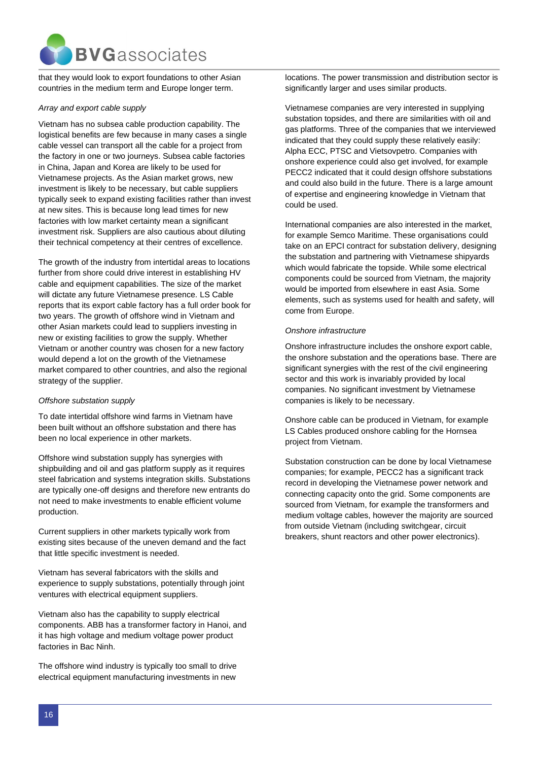

that they would look to export foundations to other Asian countries in the medium term and Europe longer term.

#### *Array and export cable supply*

Vietnam has no subsea cable production capability. The logistical benefits are few because in many cases a single cable vessel can transport all the cable for a project from the factory in one or two journeys. Subsea cable factories in China, Japan and Korea are likely to be used for Vietnamese projects. As the Asian market grows, new investment is likely to be necessary, but cable suppliers typically seek to expand existing facilities rather than invest at new sites. This is because long lead times for new factories with low market certainty mean a significant investment risk. Suppliers are also cautious about diluting their technical competency at their centres of excellence.

The growth of the industry from intertidal areas to locations further from shore could drive interest in establishing HV cable and equipment capabilities. The size of the market will dictate any future Vietnamese presence. LS Cable reports that its export cable factory has a full order book for two years. The growth of offshore wind in Vietnam and other Asian markets could lead to suppliers investing in new or existing facilities to grow the supply. Whether Vietnam or another country was chosen for a new factory would depend a lot on the growth of the Vietnamese market compared to other countries, and also the regional strategy of the supplier.

#### *Offshore substation supply*

To date intertidal offshore wind farms in Vietnam have been built without an offshore substation and there has been no local experience in other markets.

Offshore wind substation supply has synergies with shipbuilding and oil and gas platform supply as it requires steel fabrication and systems integration skills. Substations are typically one-off designs and therefore new entrants do not need to make investments to enable efficient volume production.

Current suppliers in other markets typically work from existing sites because of the uneven demand and the fact that little specific investment is needed.

Vietnam has several fabricators with the skills and experience to supply substations, potentially through joint ventures with electrical equipment suppliers.

Vietnam also has the capability to supply electrical components. ABB has a transformer factory in Hanoi, and it has high voltage and medium voltage power product factories in Bac Ninh.

The offshore wind industry is typically too small to drive electrical equipment manufacturing investments in new

locations. The power transmission and distribution sector is significantly larger and uses similar products.

Vietnamese companies are very interested in supplying substation topsides, and there are similarities with oil and gas platforms. Three of the companies that we interviewed indicated that they could supply these relatively easily: Alpha ECC, PTSC and Vietsovpetro. Companies with onshore experience could also get involved, for example PECC2 indicated that it could design offshore substations and could also build in the future. There is a large amount of expertise and engineering knowledge in Vietnam that could be used.

International companies are also interested in the market, for example Semco Maritime. These organisations could take on an EPCI contract for substation delivery, designing the substation and partnering with Vietnamese shipyards which would fabricate the topside. While some electrical components could be sourced from Vietnam, the majority would be imported from elsewhere in east Asia. Some elements, such as systems used for health and safety, will come from Europe.

#### *Onshore infrastructure*

Onshore infrastructure includes the onshore export cable, the onshore substation and the operations base. There are significant synergies with the rest of the civil engineering sector and this work is invariably provided by local companies. No significant investment by Vietnamese companies is likely to be necessary.

Onshore cable can be produced in Vietnam, for example LS Cables produced onshore cabling for the Hornsea project from Vietnam.

Substation construction can be done by local Vietnamese companies; for example, PECC2 has a significant track record in developing the Vietnamese power network and connecting capacity onto the grid. Some components are sourced from Vietnam, for example the transformers and medium voltage cables, however the majority are sourced from outside Vietnam (including switchgear, circuit breakers, shunt reactors and other power electronics).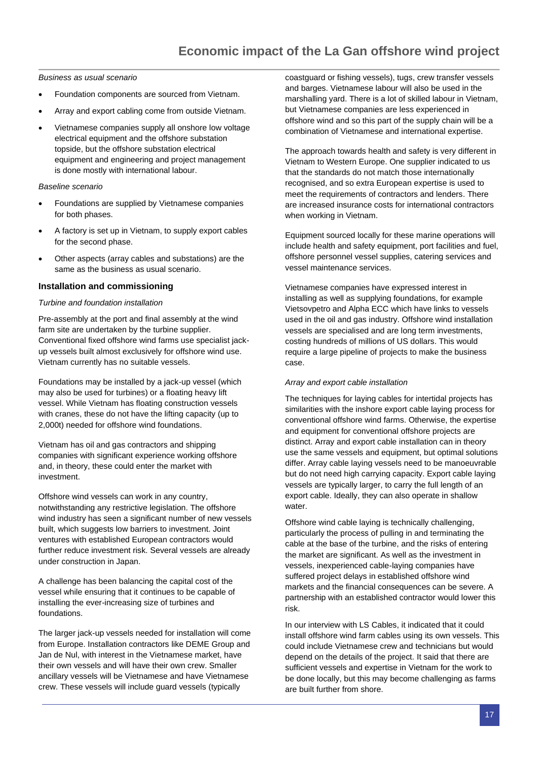*Business as usual scenario*

- Foundation components are sourced from Vietnam.
- Array and export cabling come from outside Vietnam.
- Vietnamese companies supply all onshore low voltage electrical equipment and the offshore substation topside, but the offshore substation electrical equipment and engineering and project management is done mostly with international labour.

#### *Baseline scenario*

- Foundations are supplied by Vietnamese companies for both phases.
- A factory is set up in Vietnam, to supply export cables for the second phase.
- Other aspects (array cables and substations) are the same as the business as usual scenario.

#### **Installation and commissioning**

#### *Turbine and foundation installation*

Pre-assembly at the port and final assembly at the wind farm site are undertaken by the turbine supplier. Conventional fixed offshore wind farms use specialist jackup vessels built almost exclusively for offshore wind use. Vietnam currently has no suitable vessels.

Foundations may be installed by a jack-up vessel (which may also be used for turbines) or a floating heavy lift vessel. While Vietnam has floating construction vessels with cranes, these do not have the lifting capacity (up to 2,000t) needed for offshore wind foundations.

Vietnam has oil and gas contractors and shipping companies with significant experience working offshore and, in theory, these could enter the market with investment.

Offshore wind vessels can work in any country, notwithstanding any restrictive legislation. The offshore wind industry has seen a significant number of new vessels built, which suggests low barriers to investment. Joint ventures with established European contractors would further reduce investment risk. Several vessels are already under construction in Japan.

A challenge has been balancing the capital cost of the vessel while ensuring that it continues to be capable of installing the ever-increasing size of turbines and foundations.

The larger jack-up vessels needed for installation will come from Europe. Installation contractors like DEME Group and Jan de Nul, with interest in the Vietnamese market, have their own vessels and will have their own crew. Smaller ancillary vessels will be Vietnamese and have Vietnamese crew. These vessels will include guard vessels (typically

coastguard or fishing vessels), tugs, crew transfer vessels and barges. Vietnamese labour will also be used in the marshalling yard. There is a lot of skilled labour in Vietnam, but Vietnamese companies are less experienced in offshore wind and so this part of the supply chain will be a combination of Vietnamese and international expertise.

The approach towards health and safety is very different in Vietnam to Western Europe. One supplier indicated to us that the standards do not match those internationally recognised, and so extra European expertise is used to meet the requirements of contractors and lenders. There are increased insurance costs for international contractors when working in Vietnam.

Equipment sourced locally for these marine operations will include health and safety equipment, port facilities and fuel, offshore personnel vessel supplies, catering services and vessel maintenance services.

Vietnamese companies have expressed interest in installing as well as supplying foundations, for example Vietsovpetro and Alpha ECC which have links to vessels used in the oil and gas industry. Offshore wind installation vessels are specialised and are long term investments, costing hundreds of millions of US dollars. This would require a large pipeline of projects to make the business case.

#### *Array and export cable installation*

The techniques for laying cables for intertidal projects has similarities with the inshore export cable laying process for conventional offshore wind farms. Otherwise, the expertise and equipment for conventional offshore projects are distinct. Array and export cable installation can in theory use the same vessels and equipment, but optimal solutions differ. Array cable laying vessels need to be manoeuvrable but do not need high carrying capacity. Export cable laying vessels are typically larger, to carry the full length of an export cable. Ideally, they can also operate in shallow water.

Offshore wind cable laying is technically challenging, particularly the process of pulling in and terminating the cable at the base of the turbine, and the risks of entering the market are significant. As well as the investment in vessels, inexperienced cable-laying companies have suffered project delays in established offshore wind markets and the financial consequences can be severe. A partnership with an established contractor would lower this risk.

In our interview with LS Cables, it indicated that it could install offshore wind farm cables using its own vessels. This could include Vietnamese crew and technicians but would depend on the details of the project. It said that there are sufficient vessels and expertise in Vietnam for the work to be done locally, but this may become challenging as farms are built further from shore.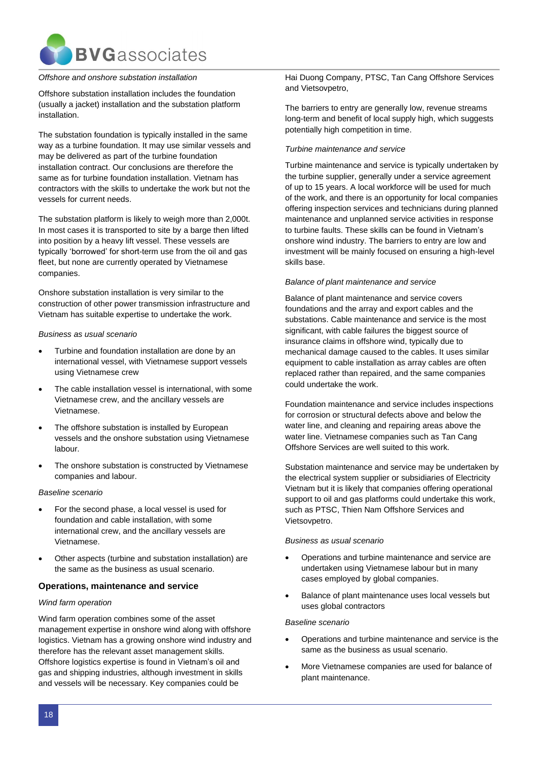

#### *Offshore and onshore substation installation*

Offshore substation installation includes the foundation (usually a jacket) installation and the substation platform installation.

The substation foundation is typically installed in the same way as a turbine foundation. It may use similar vessels and may be delivered as part of the turbine foundation installation contract. Our conclusions are therefore the same as for turbine foundation installation. Vietnam has contractors with the skills to undertake the work but not the vessels for current needs.

The substation platform is likely to weigh more than 2,000t. In most cases it is transported to site by a barge then lifted into position by a heavy lift vessel. These vessels are typically 'borrowed' for short-term use from the oil and gas fleet, but none are currently operated by Vietnamese companies.

Onshore substation installation is very similar to the construction of other power transmission infrastructure and Vietnam has suitable expertise to undertake the work.

#### *Business as usual scenario*

- Turbine and foundation installation are done by an international vessel, with Vietnamese support vessels using Vietnamese crew
- The cable installation vessel is international, with some Vietnamese crew, and the ancillary vessels are Vietnamese.
- The offshore substation is installed by European vessels and the onshore substation using Vietnamese labour.
- The onshore substation is constructed by Vietnamese companies and labour.

#### *Baseline scenario*

- For the second phase, a local vessel is used for foundation and cable installation, with some international crew, and the ancillary vessels are Vietnamese.
- Other aspects (turbine and substation installation) are the same as the business as usual scenario.

#### **Operations, maintenance and service**

#### *Wind farm operation*

Wind farm operation combines some of the asset management expertise in onshore wind along with offshore logistics. Vietnam has a growing onshore wind industry and therefore has the relevant asset management skills. Offshore logistics expertise is found in Vietnam's oil and gas and shipping industries, although investment in skills and vessels will be necessary. Key companies could be

Hai Duong Company, PTSC, Tan Cang Offshore Services and Vietsovpetro,

The barriers to entry are generally low, revenue streams long-term and benefit of local supply high, which suggests potentially high competition in time.

#### *Turbine maintenance and service*

Turbine maintenance and service is typically undertaken by the turbine supplier, generally under a service agreement of up to 15 years. A local workforce will be used for much of the work, and there is an opportunity for local companies offering inspection services and technicians during planned maintenance and unplanned service activities in response to turbine faults. These skills can be found in Vietnam's onshore wind industry. The barriers to entry are low and investment will be mainly focused on ensuring a high-level skills base.

#### *Balance of plant maintenance and service*

Balance of plant maintenance and service covers foundations and the array and export cables and the substations. Cable maintenance and service is the most significant, with cable failures the biggest source of insurance claims in offshore wind, typically due to mechanical damage caused to the cables. It uses similar equipment to cable installation as array cables are often replaced rather than repaired, and the same companies could undertake the work.

Foundation maintenance and service includes inspections for corrosion or structural defects above and below the water line, and cleaning and repairing areas above the water line. Vietnamese companies such as Tan Cang Offshore Services are well suited to this work.

Substation maintenance and service may be undertaken by the electrical system supplier or subsidiaries of Electricity Vietnam but it is likely that companies offering operational support to oil and gas platforms could undertake this work, such as PTSC, Thien Nam Offshore Services and Vietsovpetro.

#### *Business as usual scenario*

- Operations and turbine maintenance and service are undertaken using Vietnamese labour but in many cases employed by global companies.
- Balance of plant maintenance uses local vessels but uses global contractors

#### *Baseline scenario*

- Operations and turbine maintenance and service is the same as the business as usual scenario.
- More Vietnamese companies are used for balance of plant maintenance.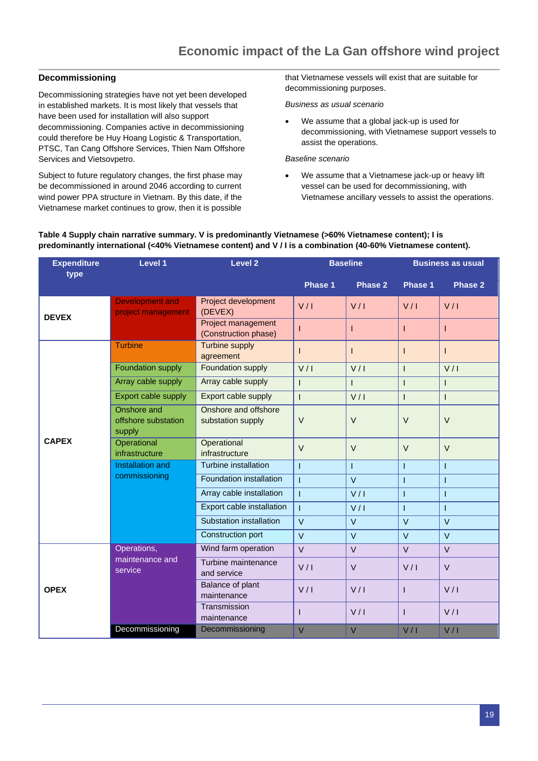#### **Decommissioning**

Decommissioning strategies have not yet been developed in established markets. It is most likely that vessels that have been used for installation will also support decommissioning. Companies active in decommissioning could therefore be Huy Hoang Logistic & Transportation, PTSC, Tan Cang Offshore Services, Thien Nam Offshore Services and Vietsovpetro.

Subject to future regulatory changes, the first phase may be decommissioned in around 2046 according to current wind power PPA structure in Vietnam. By this date, if the Vietnamese market continues to grow, then it is possible

that Vietnamese vessels will exist that are suitable for decommissioning purposes.

*Business as usual scenario*

• We assume that a global jack-up is used for decommissioning, with Vietnamese support vessels to assist the operations.

#### *Baseline scenario*

• We assume that a Vietnamese jack-up or heavy lift vessel can be used for decommissioning, with Vietnamese ancillary vessels to assist the operations.

#### <span id="page-18-0"></span>**Table 4 Supply chain narrative summary. V is predominantly Vietnamese (>60% Vietnamese content); I is predominantly international (<40% Vietnamese content) and V / I is a combination (40-60% Vietnamese content).**

| <b>Expenditure</b><br>type | <b>Level 1</b>                               | <b>Level 2</b>                             | <b>Baseline</b> |                | <b>Business as usual</b> |                |
|----------------------------|----------------------------------------------|--------------------------------------------|-----------------|----------------|--------------------------|----------------|
|                            |                                              |                                            | Phase 1         | Phase 2        | Phase 1                  | <b>Phase 2</b> |
| <b>DEVEX</b>               | <b>Development and</b><br>project management | Project development<br>(DEVEX)             | V/I             | V/I            | V/I                      | V/I            |
|                            |                                              | Project management<br>(Construction phase) | $\mathbf{I}$    | I              | T                        | L              |
|                            | <b>Turbine</b>                               | <b>Turbine supply</b><br>agreement         | $\mathbf{I}$    | $\mathsf{I}$   | T                        | $\mathsf{I}$   |
|                            | Foundation supply                            | <b>Foundation supply</b>                   | V/I             | V/I            | $\overline{1}$           | V/I            |
|                            | Array cable supply                           | Array cable supply                         | $\mathbf{I}$    | $\mathbf{I}$   | $\overline{1}$           | $\mathsf{I}$   |
|                            | Export cable supply                          | Export cable supply                        | $\mathbf{I}$    | V/I            | $\overline{1}$           | $\mathsf{I}$   |
|                            | Onshore and<br>offshore substation<br>supply | Onshore and offshore<br>substation supply  | $\vee$          | $\vee$         | $\vee$                   | $\vee$         |
| <b>CAPEX</b>               | Operational<br>infrastructure                | Operational<br>infrastructure              | $\vee$          | $\vee$         | $\vee$                   | $\vee$         |
|                            | Installation and                             | Turbine installation                       | $\overline{1}$  | Ī              | Ī                        | $\mathbf{I}$   |
|                            | commissioning                                | <b>Foundation installation</b>             | $\mathbf{I}$    | $\overline{V}$ | Ī                        | $\mathbf{I}$   |
|                            |                                              | Array cable installation                   | $\overline{1}$  | V/I            | $\overline{1}$           | $\mathsf{I}$   |
|                            |                                              | Export cable installation                  | $\mathbf{I}$    | V/I            | $\mathbf{I}$             | $\mathbf{I}$   |
|                            |                                              | Substation installation                    | $\vee$          | $\vee$         | $\vee$                   | $\vee$         |
|                            |                                              | Construction port                          | $\vee$          | $\vee$         | $\vee$                   | $\vee$         |
|                            | Operations,                                  | Wind farm operation                        | $\vee$          | $\vee$         | $\vee$                   | $\vee$         |
|                            | maintenance and<br>service                   | Turbine maintenance<br>and service         | V/I             | $\vee$         | V/I                      | $\vee$         |
| <b>OPEX</b>                |                                              | Balance of plant<br>maintenance            | V/I             | V/I            | ı                        | V/I            |
|                            |                                              | Transmission<br>maintenance                | $\mathbf{I}$    | V/I            | T                        | V/I            |
|                            | Decommissioning                              | Decommissioning                            | $\vee$          | $\vee$         | V/I                      | V/I            |